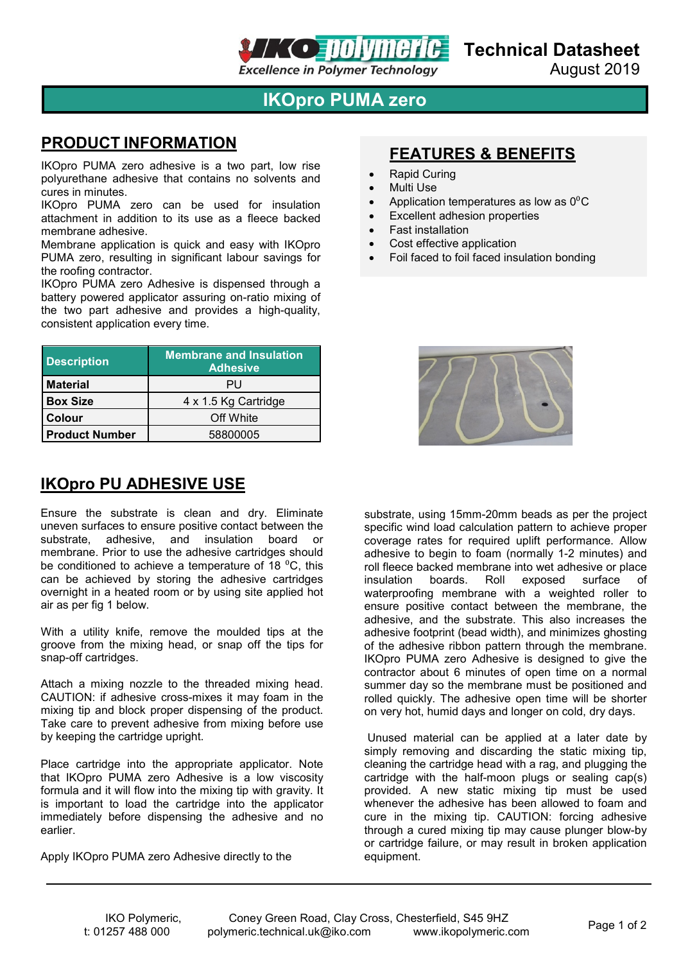

## **IKOpro PUMA zero**

#### **PRODUCT INFORMATION**

IKOpro PUMA zero adhesive is a two part, low rise polyurethane adhesive that contains no solvents and cures in minutes.

IKOpro PUMA zero can be used for insulation attachment in addition to its use as a fleece backed membrane adhesive.

Membrane application is quick and easy with IKOpro PUMA zero, resulting in significant labour savings for the roofing contractor.

IKOpro PUMA zero Adhesive is dispensed through a battery powered applicator assuring on-ratio mixing of the two part adhesive and provides a high-quality, consistent application every time.

| <b>Description</b>    | <b>Membrane and Insulation</b><br><b>Adhesive</b> |
|-----------------------|---------------------------------------------------|
| <b>Material</b>       | PU                                                |
| <b>Box Size</b>       | 4 x 1.5 Kg Cartridge                              |
| Colour                | Off White                                         |
| <b>Product Number</b> | 58800005                                          |

### **IKOpro PU ADHESIVE USE**

Ensure the substrate is clean and dry. Eliminate uneven surfaces to ensure positive contact between the substrate, adhesive, and insulation board or membrane. Prior to use the adhesive cartridges should be conditioned to achieve a temperature of 18  $^{\circ}$ C, this can be achieved by storing the adhesive cartridges overnight in a heated room or by using site applied hot air as per fig 1 below.

With a utility knife, remove the moulded tips at the groove from the mixing head, or snap off the tips for snap-off cartridges.

Attach a mixing nozzle to the threaded mixing head. CAUTION: if adhesive cross-mixes it may foam in the mixing tip and block proper dispensing of the product. Take care to prevent adhesive from mixing before use by keeping the cartridge upright.

Place cartridge into the appropriate applicator. Note that IKOpro PUMA zero Adhesive is a low viscosity formula and it will flow into the mixing tip with gravity. It is important to load the cartridge into the applicator immediately before dispensing the adhesive and no earlier.

Apply IKOpro PUMA zero Adhesive directly to the

### **FEATURES & BENEFITS**

- Rapid Curing
- **Multi Use**
- Application temperatures as low as  $0^{\circ}$ C
- **Excellent adhesion properties**
- Fast installation
- Cost effective application
- Foil faced to foil faced insulation bonding



substrate, using 15mm-20mm beads as per the project specific wind load calculation pattern to achieve proper coverage rates for required uplift performance. Allow adhesive to begin to foam (normally 1-2 minutes) and roll fleece backed membrane into wet adhesive or place<br>insulation boards. Roll exposed surface of surface of waterproofing membrane with a weighted roller to ensure positive contact between the membrane, the adhesive, and the substrate. This also increases the adhesive footprint (bead width), and minimizes ghosting of the adhesive ribbon pattern through the membrane. IKOpro PUMA zero Adhesive is designed to give the contractor about 6 minutes of open time on a normal summer day so the membrane must be positioned and rolled quickly. The adhesive open time will be shorter on very hot, humid days and longer on cold, dry days.

Unused material can be applied at a later date by simply removing and discarding the static mixing tip, cleaning the cartridge head with a rag, and plugging the cartridge with the half-moon plugs or sealing cap(s) provided. A new static mixing tip must be used whenever the adhesive has been allowed to foam and cure in the mixing tip. CAUTION: forcing adhesive through a cured mixing tip may cause plunger blow-by or cartridge failure, or may result in broken application equipment.